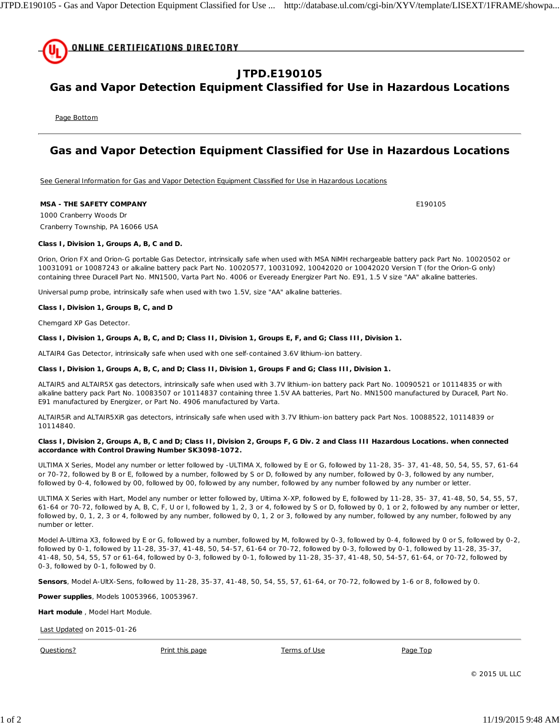

# **JTPD.E190105**

## **Gas and Vapor Detection Equipment Classified for Use in Hazardous Locations**

Page Bottom

## **Gas and Vapor Detection Equipment Classified for Use in Hazardous Locations**

See General Information for Gas and Vapor Detection Equipment Classified for Use in Hazardous Locations

### **MSA - THE SAFETY COMPANY E190105**

1000 Cranberry Woods Dr Cranberry Township, PA 16066 USA

### **Class I, Division 1, Groups A, B, C and D.**

Orion, Orion FX and Orion-G portable Gas Detector, intrinsically safe when used with MSA NiMH rechargeable battery pack Part No. 10020502 or 10031091 or 10087243 or alkaline battery pack Part No. 10020577, 10031092, 10042020 or 10042020 Version T (for the Orion-G only) containing three Duracell Part No. MN1500, Varta Part No. 4006 or Eveready Energizer Part No. E91, 1.5 V size "AA" alkaline batteries.

Universal pump probe, intrinsically safe when used with two 1.5V, size "AA" alkaline batteries.

#### **Class I, Division 1, Groups B, C, and D**

Chemgard XP Gas Detector.

### **Class I, Division 1, Groups A, B, C, and D; Class II, Division 1, Groups E, F, and G; Class III, Division 1.**

ALTAIR4 Gas Detector, intrinsically safe when used with one self-contained 3.6V lithium-ion battery.

#### **Class I, Division 1, Groups A, B, C, and D; Class II, Division 1, Groups F and G; Class III, Division 1.**

ALTAIR5 and ALTAIR5X gas detectors, intrinsically safe when used with 3.7V lithium-ion battery pack Part No. 10090521 or 10114835 or with alkaline battery pack Part No. 10083507 or 10114837 containing three 1.5V AA batteries, Part No. MN1500 manufactured by Duracell, Part No. E91 manufactured by Energizer, or Part No. 4906 manufactured by Varta.

ALTAIR5iR and ALTAIR5XiR gas detectors, intrinsically safe when used with 3.7V lithium-ion battery pack Part Nos. 10088522, 10114839 or 10114840.

### **Class I, Division 2, Groups A, B, C and D; Class II, Division 2, Groups F, G Div. 2 and Class III Hazardous Locations. when connected accordance with Control Drawing Number SK3098-1072.**

ULTIMA X Series, Model any number or letter followed by -ULTIMA X, followed by E or G, followed by 11-28, 35- 37, 41-48, 50, 54, 55, 57, 61-64 or 70-72, followed by B or E, followed by a number, followed by S or D, followed by any number, followed by 0-3, followed by any number, followed by 0-4, followed by 00, followed by 00, followed by any number, followed by any number followed by any number or letter.

ULTIMA X Series with Hart, Model any number or letter followed by, Ultima X-XP, followed by E, followed by 11-28, 35- 37, 41-48, 50, 54, 55, 57, 61-64 or 70-72, followed by A, B, C, F, U or I, followed by 1, 2, 3 or 4, followed by S or D, followed by 0, 1 or 2, followed by any number or letter, followed by, 0, 1, 2, 3 or 4, followed by any number, followed by 0, 1, 2 or 3, followed by any number, followed by any number, followed by any number or letter.

Model A-Ultima X3, followed by E or G, followed by a number, followed by M, followed by 0-3, followed by 0-4, followed by 0 or S, followed by 0-2, followed by 0-1, followed by 11-28, 35-37, 41-48, 50, 54-57, 61-64 or 70-72, followed by 0-3, followed by 0-1, followed by 11-28, 35-37, 41-48, 50, 54, 55, 57 or 61-64, followed by 0-3, followed by 0-1, followed by 11-28, 35-37, 41-48, 50, 54-57, 61-64, or 70-72, followed by 0-3, followed by 0-1, followed by 0.

**Sensors**, Model A-UltX-Sens, followed by 11-28, 35-37, 41-48, 50, 54, 55, 57, 61-64, or 70-72, followed by 1-6 or 8, followed by 0.

**Power supplies**, Models 10053966, 10053967.

**Hart module** , Model Hart Module.

Last Updated on 2015-01-26

Questions? Print this page Terms of Use Page Top